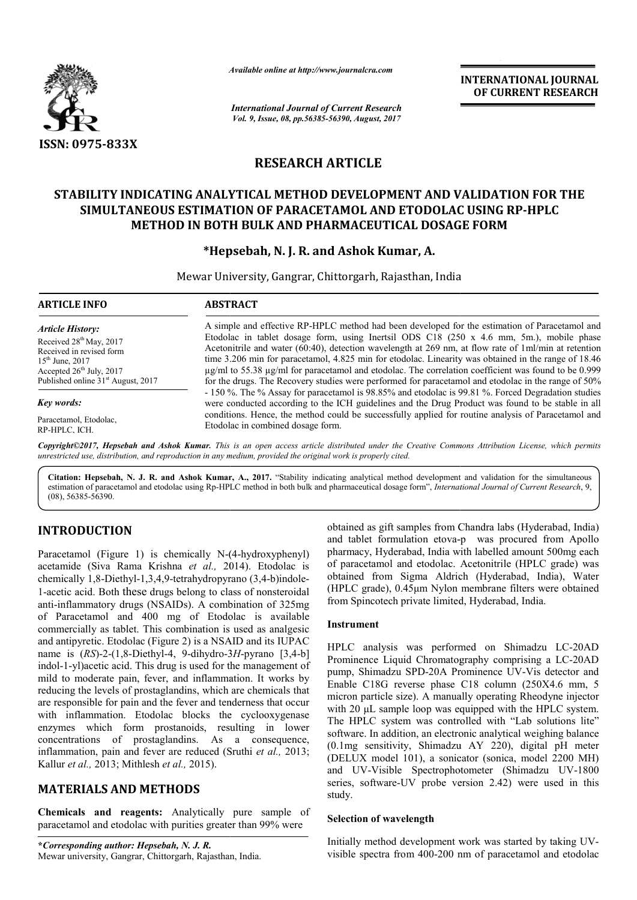

*Available online at http://www.journal http://www.journalcra.com*

*International Journal of Current Research Vol. 9, Issue, 08, pp.56385-56390, August, 2017*

**INTERNATIONAL JOURNAL OF CURRENT RESEARCH** 

# **RESEARCH ARTICLE**

# **STABILITY INDICATING ANALYTICAL METHOD DEVELOPMENT AND VALIDATION FOR THE SIMULTANEOUS ESTIMATION OF PARACETAMOL AND ETODOLAC USING RP STABILITY INDICATING USING RP-HPLC METHOD IN BOTH BULK AND PHARMACEUTICAL DOSAGE FORM METHOD FORM**

# **\*Hepsebah, N. Hepsebah, J. R. and Ashok Kumar, A.**

Mewar University, Gangrar, Chittorgarh, Rajasthan, India

| <b>ARTICLE INFO</b>                                                                                                                                                                         | <b>ABSTRACT</b>                                                                                                                                                                                                                                                                                                                                                                                                                                                                                                                                                                                                                        |
|---------------------------------------------------------------------------------------------------------------------------------------------------------------------------------------------|----------------------------------------------------------------------------------------------------------------------------------------------------------------------------------------------------------------------------------------------------------------------------------------------------------------------------------------------------------------------------------------------------------------------------------------------------------------------------------------------------------------------------------------------------------------------------------------------------------------------------------------|
| Article History:<br>Received 28 <sup>th</sup> May, 2017<br>Received in revised form<br>$15^{th}$ June, 2017<br>Accepted $26th$ July, 2017<br>Published online 31 <sup>st</sup> August, 2017 | A simple and effective RP-HPLC method had been developed for the estimation of Paracetamol and<br>Etodolac in tablet dosage form, using Inertsil ODS C18 (250 x 4.6 mm, 5m.), mobile phase<br>Acetonitrile and water $(60.40)$ , detection wavelength at 269 nm, at flow rate of 1ml/min at retention<br>time 3.206 min for paracetamol, 4.825 min for etodolac. Linearity was obtained in the range of 18.46<br>$\mu$ g/ml to 55.38 $\mu$ g/ml for paracetamol and etodolac. The correlation coefficient was found to be 0.999<br>for the drugs. The Recovery studies were performed for paracetamol and etodolac in the range of 50% |
| Key words:                                                                                                                                                                                  | - 150 %. The % Assay for paracetamol is 98.85% and etodolac is 99.81 %. Forced Degradation studies<br>were conducted according to the ICH guidelines and the Drug Product was found to be stable in all                                                                                                                                                                                                                                                                                                                                                                                                                                |
| Paracetamol, Etodolac,<br>RP-HPLC, ICH.                                                                                                                                                     | conditions. Hence, the method could be successfully applied for routine analysis of Paracetamol and<br>Etodolac in combined dosage form.                                                                                                                                                                                                                                                                                                                                                                                                                                                                                               |
|                                                                                                                                                                                             | Copyright©2017, Hepsebah and Ashok Kumar. This is an open access article distributed under the Creative Commons Attribution License, which permits<br>unrestricted use, distribution, and reproduction in any medium, provided the original work is properly cited.                                                                                                                                                                                                                                                                                                                                                                    |

Citation: Hepsebah, N. J. R. and Ashok Kumar, A., 2017. "Stability indicating analytical method development and validation for the simultaneous estimation of paracetamol and etodolac using Rp-HPLC method in both bulk and pharmaceutical dosage form", *International Journal of Current Research*, 9, (08), 56385-56390.

# **INTRODUCTION**

Paracetamol (Figure 1) is chemically N-(4-hydroxyphenyl) acetamide (Siva Rama Krishna *et al.,* 2014 2014). Etodolac is chemically 1,8-Diethyl-1,3,4,9-tetrahydropyrano (3,4-b)indole-1-acetic acid. Both these drugs belong to class of nonsteroidal anti-inflammatory drugs (NSAIDs). A combination of 325mg of Paracetamol and 400 mg of Etodolac is available commercially as tablet. This combination is used as analgesic and antipyretic. Etodolac (Figure 2) is a NSAID and its IUPAC name is (*RS*)-2-(1,8-Diethyl-4, 9-dihydro-3*H*-pyrano [3,4-b] indol-1-yl)acetic acid. This drug is used for the management of mild to moderate pain, fever, and inflammation. It works by reducing the levels of prostaglandins, which are chemicals that are responsible for pain and the fever and tenderness that occur with inflammation. Etodolac blocks the cyclooxygenase enzymes which form prostanoids, resulting in lower concentrations of prostaglandins. As a consequence, inflammation, pain and fever are reduced (Sruthi et al., 2013; Kallur *et al.,* 2013; Mithlesh *et al.,* 2015). inflammatory drugs (NSAIDs). A combination of 325mg<br>Paracetamol and 400 mg of Etodolac is available<br>mercially as tablet. This combination is used as analgesic<br>antipyretic. Etodolac (Figure 2) is a NSAID and its IUPAC<br>e is

# **MATERIALS AND METHODS**

**Chemicals and reagents:** Analytically pure sample of paracetamol and etodolac with purities greater than 99% were

**\****Corresponding author: Hepsebah, N. J. R.* Mewar university, Gangrar, Chittorgarh, Rajasthan, India.

obtained as gift samples from Chandra labs (Hyderabad, India) and tablet formulation etova-p was procured from Apollo pharmacy, Hyderabad, India with labelled amount 500mg each of paracetamol and etodolac. Acetonitrile (HPLC grade) was obtained from Sigma Aldrich (Hyderabad, India), Water (HPLC grade), 0.45μm Nylon membrane filters were obtained from Spincotech private limited, Hyderabad, India. pharmacy, Hyderabad, India with labelled amount 500mg each<br>of paracetamol and etodolac. Acetonitrile (HPLC grade) was<br>obtained from Sigma Aldrich (Hyderabad, India), Water<br>(HPLC grade), 0.45µm Nylon membrane filters were o

## **Instrument**

HPLC analysis was performed on Shimadzu LC-20AD Prominence Liquid Chromatography comprising a LC-20AD pump, Shimadzu SPD-20A Prominence UV-Vis detector and Enable C18G reverse phase C18 column (250X4.6 mm, 5 micron particle size). A manually operating Rheodyne injector with 20 μL sample loop was equipped with the HPLC system. The HPLC system was controlled with "Lab solutions lite" software. In addition, an electronic analytical weighing balance (0.1mg sensitivity, Shimadzu AY 220), digital pH meter (DELUX model 101), a sonicator (sonica, model 2200 MH) and UV-Visible Spectrophotometer series, software-UV probe version 2.42) were used in this study. Selection of wavelength<br>
Initially method development work was started by taking UV-<br>
Initially method development work was started by taking UV-C18G reverse phase C18 column (250X4.6 mm, 5 particle size). A manually operating Rheodyne injector µL sample loop was equipped with the HPLC system. LC system was controlled with "Lab solutions lite" <br>
e. In addition, an **INTERNATIONAL JOURNAL OF CURRENT RESEARCH**<br> **OF CURRENT RESEARCH**<br> **OF CURRENT RESEARCH**<br> **OF CURRENT RESEARCH**<br> **2014 CONG RP-HPLC**<br> **2014 CONG RP-HPLC**<br> **2014 CONG RP-HPLC**<br> **2014 CONG RP-HPLC**<br> **2014 CONG RP** 

### **Selection of wavelength**

visible spectra from 400-200 nm of paracetamol and etodolac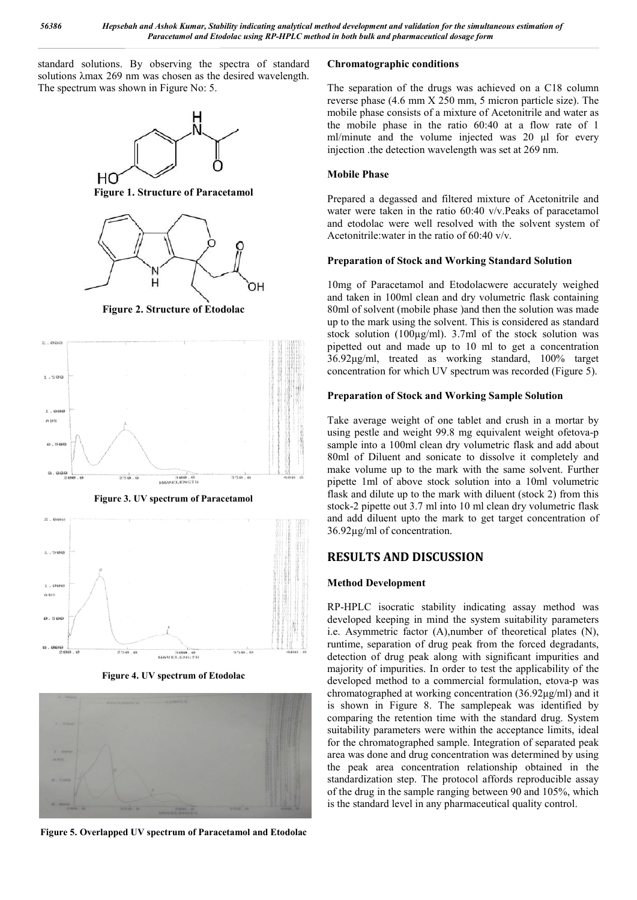standard solutions. By observing the spectra of standard solutions λmax 269 nm was chosen as the desired wavelength. The spectrum was shown in Figure No: 5.



**Figure 1. Structure of Paracetamol**



**Figure 2. Structure of Etodolac**



**Figure 3. UV spectrum of Paracetamol**



**Figure 4. UV spectrum of Etodolac**



**Figure 5. Overlapped UV spectrum of Paracetamol and Etodolac**

### **Chromatographic conditions**

The separation of the drugs was achieved on a C18 column reverse phase (4.6 mm X 250 mm, 5 micron particle size). The mobile phase consists of a mixture of Acetonitrile and water as the mobile phase in the ratio 60:40 at a flow rate of 1 ml/minute and the volume injected was 20 μl for every injection .the detection wavelength was set at 269 nm.

### **Mobile Phase**

Prepared a degassed and filtered mixture of Acetonitrile and water were taken in the ratio 60:40 v/v.Peaks of paracetamol and etodolac were well resolved with the solvent system of Acetonitrile:water in the ratio of 60:40 v/v.

## **Preparation of Stock and Working Standard Solution**

10mg of Paracetamol and Etodolacwere accurately weighed and taken in 100ml clean and dry volumetric flask containing 80ml of solvent (mobile phase )and then the solution was made up to the mark using the solvent. This is considered as standard stock solution (100µg/ml). 3.7ml of the stock solution was pipetted out and made up to 10 ml to get a concentration 36.92μg/ml, treated as working standard, 100% target concentration for which UV spectrum was recorded (Figure 5).

### **Preparation of Stock and Working Sample Solution**

Take average weight of one tablet and crush in a mortar by using pestle and weight 99.8 mg equivalent weight ofetova-p sample into a 100ml clean dry volumetric flask and add about 80ml of Diluent and sonicate to dissolve it completely and make volume up to the mark with the same solvent. Further pipette 1ml of above stock solution into a 10ml volumetric flask and dilute up to the mark with diluent (stock 2) from this stock-2 pipette out 3.7 ml into 10 ml clean dry volumetric flask and add diluent upto the mark to get target concentration of 36.92µg/ml of concentration.

# **RESULTS AND DISCUSSION**

## **Method Development**

RP-HPLC isocratic stability indicating assay method was developed keeping in mind the system suitability parameters i.e. Asymmetric factor (A),number of theoretical plates (N), runtime, separation of drug peak from the forced degradants, detection of drug peak along with significant impurities and majority of impurities. In order to test the applicability of the developed method to a commercial formulation, etova-p was chromatographed at working concentration (36.92μg/ml) and it is shown in Figure 8. The samplepeak was identified by comparing the retention time with the standard drug. System suitability parameters were within the acceptance limits, ideal for the chromatographed sample. Integration of separated peak area was done and drug concentration was determined by using the peak area concentration relationship obtained in the standardization step. The protocol affords reproducible assay of the drug in the sample ranging between 90 and 105%, which is the standard level in any pharmaceutical quality control.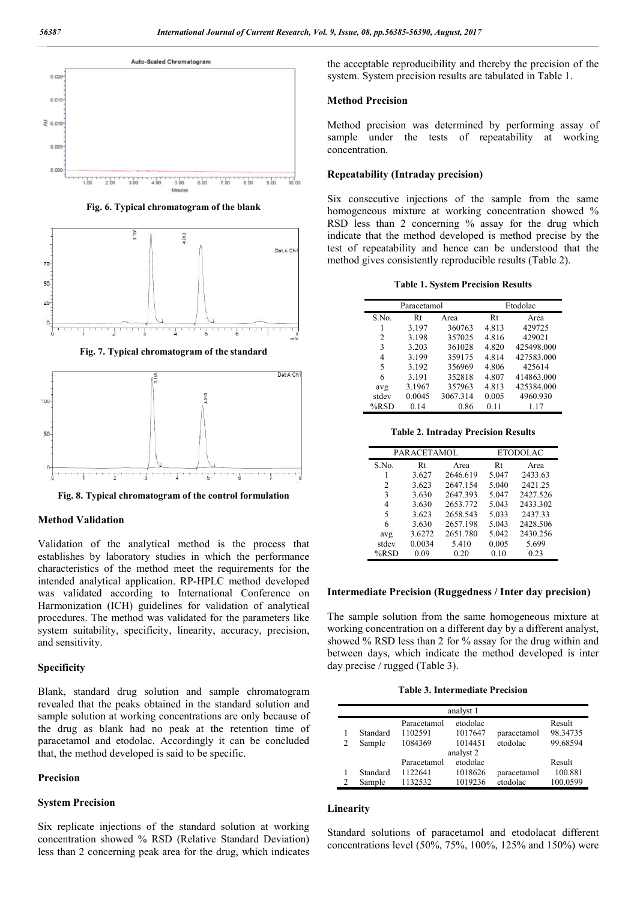

**Fig. 6. Typical chromatogram of the blank**



**Fig. 7. Typical chromatogram of the standard**



**Fig. 8. Typical chromatogram of the control formulation**

#### **Method Validation**

Validation of the analytical method is the process that establishes by laboratory studies in which the performance characteristics of the method meet the requirements for the intended analytical application. RP-HPLC method developed was validated according to International Conference on Harmonization (ICH) guidelines for validation of analytical procedures. The method was validated for the parameters like system suitability, specificity, linearity, accuracy, precision, and sensitivity.

#### **Specificity**

Blank, standard drug solution and sample chromatogram revealed that the peaks obtained in the standard solution and sample solution at working concentrations are only because of the drug as blank had no peak at the retention time of paracetamol and etodolac. Accordingly it can be concluded that, the method developed is said to be specific.

### **Precision**

#### **System Precision**

Six replicate injections of the standard solution at working concentration showed % RSD (Relative Standard Deviation) less than 2 concerning peak area for the drug, which indicates

the acceptable reproducibility and thereby the precision of the system. System precision results are tabulated in Table 1.

#### **Method Precision**

Method precision was determined by performing assay of sample under the tests of repeatability at working concentration.

#### **Repeatability (Intraday precision)**

Six consecutive injections of the sample from the same homogeneous mixture at working concentration showed % RSD less than 2 concerning % assay for the drug which indicate that the method developed is method precise by the test of repeatability and hence can be understood that the method gives consistently reproducible results (Table 2).

|                | Paracetamol |          |       | Etodolac   |
|----------------|-------------|----------|-------|------------|
| S.No.          | Rt          | Area     | Rt    | Area       |
|                | 3.197       | 360763   | 4.813 | 429725     |
| $\overline{c}$ | 3.198       | 357025   | 4.816 | 429021     |
| 3              | 3.203       | 361028   | 4.820 | 425498.000 |
| 4              | 3.199       | 359175   | 4.814 | 427583.000 |
| 5              | 3.192       | 356969   | 4.806 | 425614     |
| 6              | 3.191       | 352818   | 4.807 | 414863.000 |
| avg            | 3.1967      | 357963   | 4.813 | 425384.000 |
| stdev          | 0.0045      | 3067.314 | 0.005 | 4960.930   |
| $%$ RSD        | 0.14        | 0.86     | 0.11  | 1.17       |
|                |             |          |       |            |

**Table 2. Intraday Precision Results**

|       | PARACETAMOL |          | <b>ETODOLAC</b> |          |
|-------|-------------|----------|-----------------|----------|
| S.No. | Rt          | Area     | Rt              | Area     |
|       | 3.627       | 2646.619 | 5.047           | 2433.63  |
| 2     | 3.623       | 2647.154 | 5.040           | 2421.25  |
| 3     | 3.630       | 2647.393 | 5.047           | 2427.526 |
| 4     | 3.630       | 2653.772 | 5.043           | 2433.302 |
| 5     | 3.623       | 2658.543 | 5.033           | 2437.33  |
| 6     | 3.630       | 2657.198 | 5.043           | 2428.506 |
| avg   | 3.6272      | 2651.780 | 5.042           | 2430.256 |
| stdev | 0.0034      | 5.410    | 0.005           | 5.699    |
| %RSD  | 0.09        | 0.20     | 0.10            | 0.23     |

#### **Intermediate Precision (Ruggedness / Inter day precision)**

The sample solution from the same homogeneous mixture at working concentration on a different day by a different analyst, showed % RSD less than 2 for % assay for the drug within and between days, which indicate the method developed is inter day precise / rugged (Table 3).

**Table 3. Intermediate Precision**

|                |          |             | analyst 1 |             |          |
|----------------|----------|-------------|-----------|-------------|----------|
|                |          | Paracetamol | etodolac  |             | Result   |
|                | Standard | 1102591     | 1017647   | paracetamol | 98.34735 |
| $\overline{c}$ | Sample   | 1084369     | 1014451   | etodolac    | 99.68594 |
|                |          |             | analyst 2 |             |          |
|                |          | Paracetamol | etodolac  |             | Result   |
|                | Standard | 1122641     | 1018626   | paracetamol | 100.881  |
| 2              | Sample   | 1132532     | 1019236   | etodolac    | 100.0599 |

#### **Linearity**

Standard solutions of paracetamol and etodolacat different concentrations level (50%, 75%, 100%, 125% and 150%) were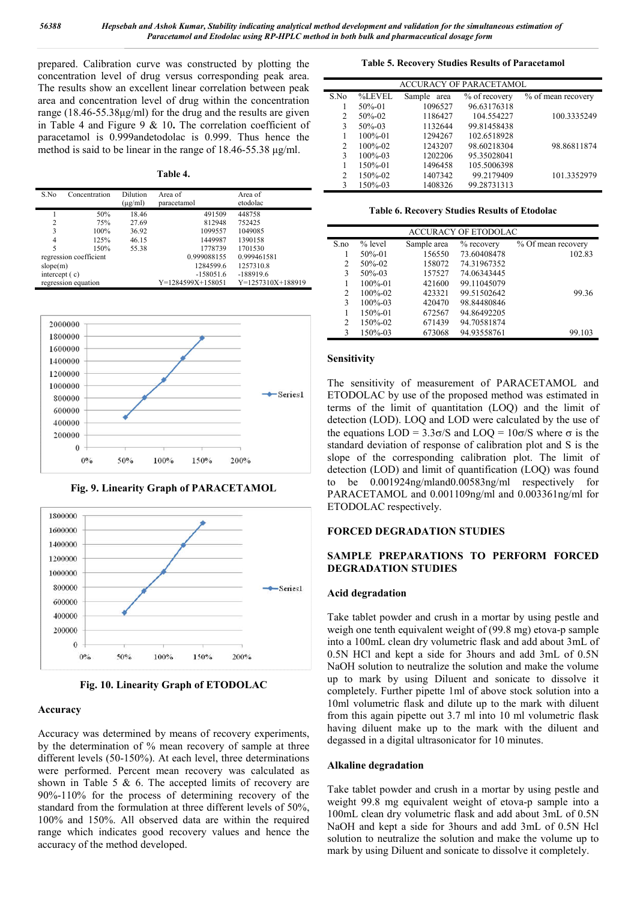prepared. Calibration curve was constructed by plotting the concentration level of drug versus corresponding peak area. The results show an excellent linear correlation between peak area and concentration level of drug within the concentration range (18.46-55.38μg/ml) for the drug and the results are given in Table 4 and Figure 9 & 10**.** The correlation coefficient of paracetamol is 0.999andetodolac is 0.999. Thus hence the method is said to be linear in the range of 18.46-55.38 μg/ml.

**Table 4.**

| S.No            | Concentration          | Dilution<br>$(\mu g/ml)$ | Area of<br>paracetamol | Area of<br>etodolac |
|-----------------|------------------------|--------------------------|------------------------|---------------------|
|                 | 50%                    | 18.46                    | 491509                 | 448758              |
|                 | 75%                    | 27.69                    | 812948                 | 752425              |
| 3               | 100%                   | 36.92                    | 1099557                | 1049085             |
| 4               | 125%                   | 46.15                    | 1449987                | 1390158             |
| 5               | 150%                   | 55.38                    | 1778739                | 1701530             |
|                 | regression coefficient |                          | 0.999088155            | 0.999461581         |
| slope(m)        |                        |                          | 1284599.6              | 1257310.8           |
| intercept $(c)$ |                        |                          | $-158051.6$            | $-188919.6$         |
|                 | regression equation    |                          | Y=1284599X+158051      | Y=1257310X+188919   |



**Fig. 9. Linearity Graph of PARACETAMOL**



**Fig. 10. Linearity Graph of ETODOLAC**

## **Accuracy**

Accuracy was determined by means of recovery experiments, by the determination of % mean recovery of sample at three different levels (50-150%). At each level, three determinations were performed. Percent mean recovery was calculated as shown in Table 5  $\&$  6. The accepted limits of recovery are 90%-110% for the process of determining recovery of the standard from the formulation at three different levels of 50%, 100% and 150%. All observed data are within the required range which indicates good recovery values and hence the accuracy of the method developed.

### **Table 5. Recovery Studies Results of Paracetamol**

|                | <b>ACCURACY OF PARACETAMOL</b> |             |               |                    |  |  |  |
|----------------|--------------------------------|-------------|---------------|--------------------|--|--|--|
| S.No           | %LEVEL                         | Sample area | % of recovery | % of mean recovery |  |  |  |
|                | $50\% - 01$                    | 1096527     | 96.63176318   |                    |  |  |  |
| 2              | $50\% - 02$                    | 1186427     | 104.554227    | 100.3335249        |  |  |  |
| 3              | $50\% - 03$                    | 1132644     | 99.81458438   |                    |  |  |  |
|                | $100\% - 01$                   | 1294267     | 102.6518928   |                    |  |  |  |
| 2              | $100\% - 02$                   | 1243207     | 98.60218304   | 98.86811874        |  |  |  |
| 3              | $100\% - 03$                   | 1202206     | 95.35028041   |                    |  |  |  |
|                | 150%-01                        | 1496458     | 105.5006398   |                    |  |  |  |
| $\mathfrak{D}$ | 150%-02                        | 1407342     | 99.2179409    | 101.3352979        |  |  |  |
| 3              | 150%-03                        | 1408326     | 99.28731313   |                    |  |  |  |

**Table 6. Recovery Studies Results of Etodolac**

| <b>ACCURACY OF ETODOLAC</b> |              |             |              |                    |  |  |
|-----------------------------|--------------|-------------|--------------|--------------------|--|--|
| S.no                        | $%$ level    | Sample area | $%$ recovery | % Of mean recovery |  |  |
|                             | $50\% - 01$  | 156550      | 73.60408478  | 102.83             |  |  |
| 2                           | $50\% - 02$  | 158072      | 74.31967352  |                    |  |  |
| 3                           | $50\% - 03$  | 157527      | 74.06343445  |                    |  |  |
|                             | $100\% - 01$ | 421600      | 99.11045079  |                    |  |  |
| 2                           | $100\% - 02$ | 423321      | 99.51502642  | 99.36              |  |  |
| 3                           | $100\% - 03$ | 420470      | 98.84480846  |                    |  |  |
|                             | 150%-01      | 672567      | 94.86492205  |                    |  |  |
| $\overline{c}$              | $150\% - 02$ | 671439      | 94.70581874  |                    |  |  |
| 3                           | 150%-03      | 673068      | 94.93558761  | 99.103             |  |  |

### **Sensitivity**

The sensitivity of measurement of PARACETAMOL and ETODOLAC by use of the proposed method was estimated in terms of the limit of quantitation (LOQ) and the limit of detection (LOD). LOQ and LOD were calculated by the use of the equations LOD =  $3.3\sigma/S$  and LOQ =  $10\sigma/S$  where  $\sigma$  is the standard deviation of response of calibration plot and S is the slope of the corresponding calibration plot. The limit of detection (LOD) and limit of quantification (LOQ) was found to be 0.001924ng/mland0.00583ng/ml respectively for PARACETAMOL and 0.001109ng/ml and 0.003361ng/ml for ETODOLAC respectively.

## **FORCED DEGRADATION STUDIES**

## **SAMPLE PREPARATIONS TO PERFORM FORCED DEGRADATION STUDIES**

### **Acid degradation**

Take tablet powder and crush in a mortar by using pestle and weigh one tenth equivalent weight of (99.8 mg) etova-p sample into a 100mL clean dry volumetric flask and add about 3mL of 0.5N HCl and kept a side for 3hours and add 3mL of 0.5N NaOH solution to neutralize the solution and make the volume up to mark by using Diluent and sonicate to dissolve it completely. Further pipette 1ml of above stock solution into a 10ml volumetric flask and dilute up to the mark with diluent from this again pipette out 3.7 ml into 10 ml volumetric flask having diluent make up to the mark with the diluent and degassed in a digital ultrasonicator for 10 minutes.

### **Alkaline degradation**

Take tablet powder and crush in a mortar by using pestle and weight 99.8 mg equivalent weight of etova-p sample into a 100mL clean dry volumetric flask and add about 3mL of 0.5N NaOH and kept a side for 3hours and add 3mL of 0.5N Hcl solution to neutralize the solution and make the volume up to mark by using Diluent and sonicate to dissolve it completely.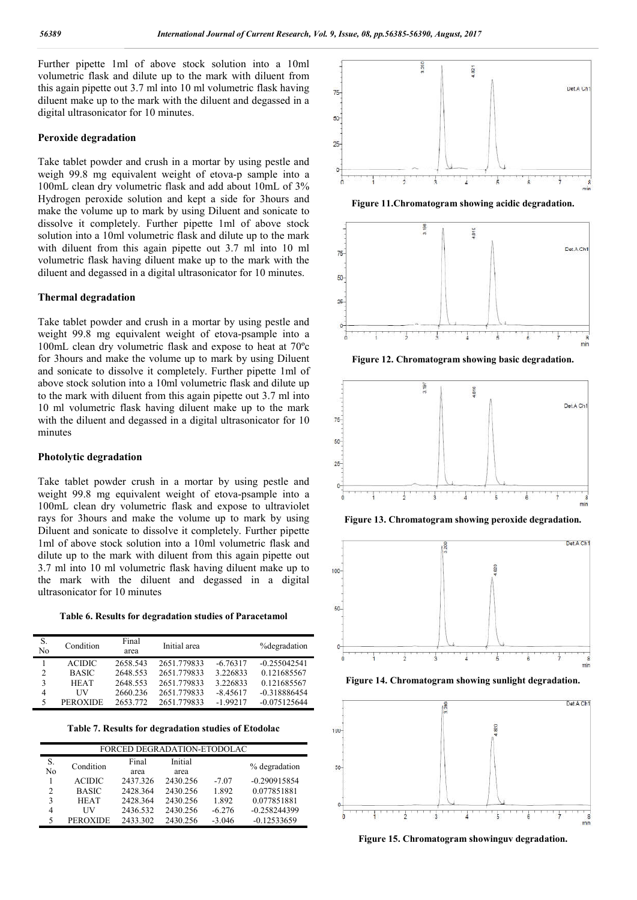Further pipette 1ml of above stock solution into a 10ml volumetric flask and dilute up to the mark with diluent from this again pipette out 3.7 ml into 10 ml volumetric flask having diluent make up to the mark with the diluent and degassed in a digital ultrasonicator for 10 minutes.

#### **Peroxide degradation**

Take tablet powder and crush in a mortar by using pestle and weigh 99.8 mg equivalent weight of etova-p sample into a 100mL clean dry volumetric flask and add about 10mL of 3% Hydrogen peroxide solution and kept a side for 3hours and make the volume up to mark by using Diluent and sonicate to dissolve it completely. Further pipette 1ml of above stock solution into a 10ml volumetric flask and dilute up to the mark with diluent from this again pipette out 3.7 ml into 10 ml volumetric flask having diluent make up to the mark with the diluent and degassed in a digital ultrasonicator for 10 minutes.

### **Thermal degradation**

Take tablet powder and crush in a mortar by using pestle and weight 99.8 mg equivalent weight of etova-psample into a 100mL clean dry volumetric flask and expose to heat at 70ºc for 3hours and make the volume up to mark by using Diluent and sonicate to dissolve it completely. Further pipette 1ml of above stock solution into a 10ml volumetric flask and dilute up to the mark with diluent from this again pipette out 3.7 ml into 10 ml volumetric flask having diluent make up to the mark with the diluent and degassed in a digital ultrasonicator for 10 minutes

#### **Photolytic degradation**

Take tablet powder crush in a mortar by using pestle and weight 99.8 mg equivalent weight of etova-psample into a 100mL clean dry volumetric flask and expose to ultraviolet rays for 3hours and make the volume up to mark by using Diluent and sonicate to dissolve it completely. Further pipette 1ml of above stock solution into a 10ml volumetric flask and dilute up to the mark with diluent from this again pipette out 3.7 ml into 10 ml volumetric flask having diluent make up to the mark with the diluent and degassed in a digital ultrasonicator for 10 minutes

**Table 6. Results for degradation studies of Paracetamol**

| S.<br>No       | Condition       | Final<br>area | Initial area |            | %degradation   |
|----------------|-----------------|---------------|--------------|------------|----------------|
|                | <b>ACIDIC</b>   | 2658.543      | 2651.779833  | $-6.76317$ | $-0.255042541$ |
| $\overline{c}$ | <b>BASIC</b>    | 2648.553      | 2651.779833  | 3.226833   | 0.121685567    |
| 3              | <b>HEAT</b>     | 2648.553      | 2651.779833  | 3.226833   | 0.121685567    |
| 4              | НV              | 2660.236      | 2651.779833  | $-8.45617$ | $-0.318886454$ |
| 5              | <b>PEROXIDE</b> | 2653.772      | 2651.779833  | $-1.99217$ | $-0.075125644$ |

**Table 7. Results for degradation studies of Etodolac**

| FORCED DEGRADATION-ETODOLAC |                 |               |                 |          |                |
|-----------------------------|-----------------|---------------|-----------------|----------|----------------|
| S.<br>N <sub>0</sub>        | Condition       | Final<br>area | Initial<br>area |          | % degradation  |
|                             | <b>ACIDIC</b>   | 2437.326      | 2430.256        | $-7.07$  | $-0.290915854$ |
| $\mathfrak{D}$              | <b>BASIC</b>    | 2428.364      | 2430.256        | 1.892    | 0.077851881    |
| 3                           | <b>HEAT</b>     | 2428.364      | 2430.256        | 1.892    | 0.077851881    |
| $\overline{4}$              | UУ              | 2436.532      | 2430.256        | $-6.276$ | $-0.258244399$ |
|                             | <b>PEROXIDE</b> | 2433.302      | 2430.256        | $-3.046$ | $-0.12533659$  |



**Figure 11.Chromatogram showing acidic degradation.**











**Figure 14. Chromatogram showing sunlight degradation.**



**Figure 15. Chromatogram showinguv degradation.**